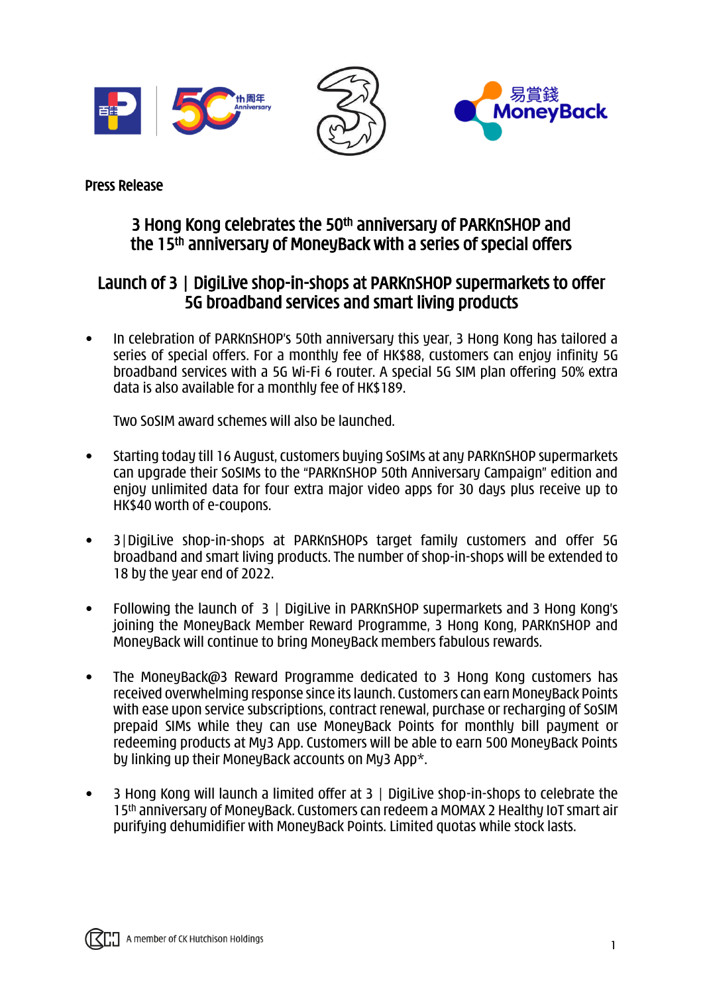

Press Release

# 3 Hong Kong celebrates the 50<sup>th</sup> anniversary of PARKnSHOP and the 15th anniversary of MoneyBack with a series of special offers

# Launch of 3 | DigiLive shop-in-shops at PARKnSHOP supermarkets to offer 5G broadband services and smart living products

• In celebration of PARKnSHOP's 50th anniversary this year, 3 Hong Kong has tailored a series of special offers. For a monthly fee of HK\$88, customers can enjoy infinity 5G broadband services with a 5G Wi-Fi 6 router. A special 5G SIM plan offering 50% extra data is also available for a monthly fee of HK\$189.

Two SoSIM award schemes will also be launched.

- Starting today till 16 August, customers buying SoSIMs at any PARKnSHOP supermarkets can upgrade their SoSIMs to the "PARKnSHOP 50th Anniversary Campaign" edition and enjoy unlimited data for four extra major video apps for 30 days plus receive up to HK\$40 worth of e-coupons.
- 3|DigiLive shop-in-shops at PARKnSHOPs target family customers and offer 5G broadband and smart living products. The number of shop-in-shops will be extended to 18 by the year end of 2022.
- Following the launch of 3 | DigiLive in PARKnSHOP supermarkets and 3 Hong Kong's joining the MoneyBack Member Reward Programme, 3 Hong Kong, PARKnSHOP and MoneyBack will continue to bring MoneyBack members fabulous rewards.
- The MoneyBack@3 Reward Programme dedicated to 3 Hong Kong customers has received overwhelming response since its launch. Customers can earn MoneyBack Points with ease upon service subscriptions, contract renewal, purchase or recharging of SoSIM prepaid SIMs while they can use MoneyBack Points for monthly bill payment or redeeming products at My3 App. Customers will be able to earn 500 MoneyBack Points by linking up their MoneyBack accounts on My3 App\*.
- 3 Hong Kong will launch a limited offer at 3 | DigiLive shop-in-shops to celebrate the 15th anniversary of MoneyBack. Customers can redeem a MOMAX 2 Healthy IoT smart air purifying dehumidifier with MoneyBack Points. Limited quotas while stock lasts.

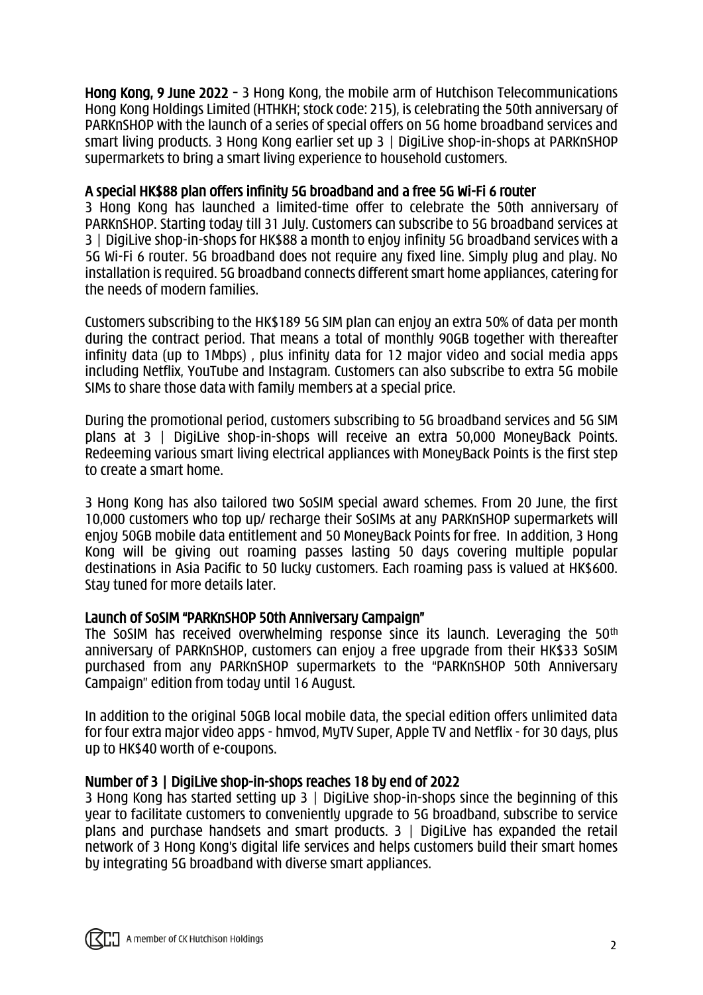Hong Kong, 9 June 2022 – 3 Hong Kong, the mobile arm of Hutchison Telecommunications Hong Kong Holdings Limited (HTHKH; stock code: 215), is celebrating the 50th anniversary of PARKnSHOP with the launch of a series of special offers on 5G home broadband services and smart living products. 3 Hong Kong earlier set up 3 | DigiLive shop-in-shops at PARKnSHOP supermarkets to bring a smart living experience to household customers.

## A special HK\$88 plan offers infinity 5G broadband and a free 5G Wi-Fi 6 router

3 Hong Kong has launched a limited-time offer to celebrate the 50th anniversary of PARKnSHOP. Starting today till 31 July. Customers can subscribe to 5G broadband services at 3 | DigiLive shop-in-shops for HK\$88 a month to enjoy infinity 5G broadband services with a 5G Wi-Fi 6 router. 5G broadband does not require any fixed line. Simply plug and play. No installation is required. 5G broadband connects different smart home appliances, catering for the needs of modern families.

Customers subscribing to the HK\$189 5G SIM plan can enjoy an extra 50% of data per month during the contract period. That means a total of monthly 90GB together with thereafter infinity data (up to 1Mbps) , plus infinity data for 12 major video and social media apps including Netflix, YouTube and Instagram. Customers can also subscribe to extra 5G mobile SIMs to share those data with family members at a special price.

During the promotional period, customers subscribing to 5G broadband services and 5G SIM plans at 3 | DigiLive shop-in-shops will receive an extra 50,000 MoneyBack Points. Redeeming various smart living electrical appliances with MoneyBack Points is the first step to create a smart home.

3 Hong Kong has also tailored two SoSIM special award schemes. From 20 June, the first 10,000 customers who top up/ recharge their SoSIMs at any PARKnSHOP supermarkets will enjoy 50GB mobile data entitlement and 50 MoneyBack Points for free. In addition, 3 Hong Kong will be giving out roaming passes lasting 50 days covering multiple popular destinations in Asia Pacific to 50 lucky customers. Each roaming pass is valued at HK\$600. Stay tuned for more details later.

## Launch of SoSIM "PARKnSHOP 50th Anniversary Campaign"

The SoSIM has received overwhelming response since its launch. Leveraging the 50th anniversary of PARKnSHOP, customers can enjoy a free upgrade from their HK\$33 SoSIM purchased from any PARKnSHOP supermarkets to the "PARKnSHOP 50th Anniversary Campaign" edition from today until 16 August.

In addition to the original 50GB local mobile data, the special edition offers unlimited data for four extra major video apps - hmvod, MyTV Super, Apple TV and Netflix - for 30 days, plus up to HK\$40 worth of e-coupons.

## Number of 3 | DigiLive shop-in-shops reaches 18 by end of 2022

3 Hong Kong has started setting up 3 | DigiLive shop-in-shops since the beginning of this year to facilitate customers to conveniently upgrade to 5G broadband, subscribe to service plans and purchase handsets and smart products.  $3 \mid$  DigiLive has expanded the retail network of 3 Hong Kong's digital life services and helps customers build their smart homes by integrating 5G broadband with diverse smart appliances.

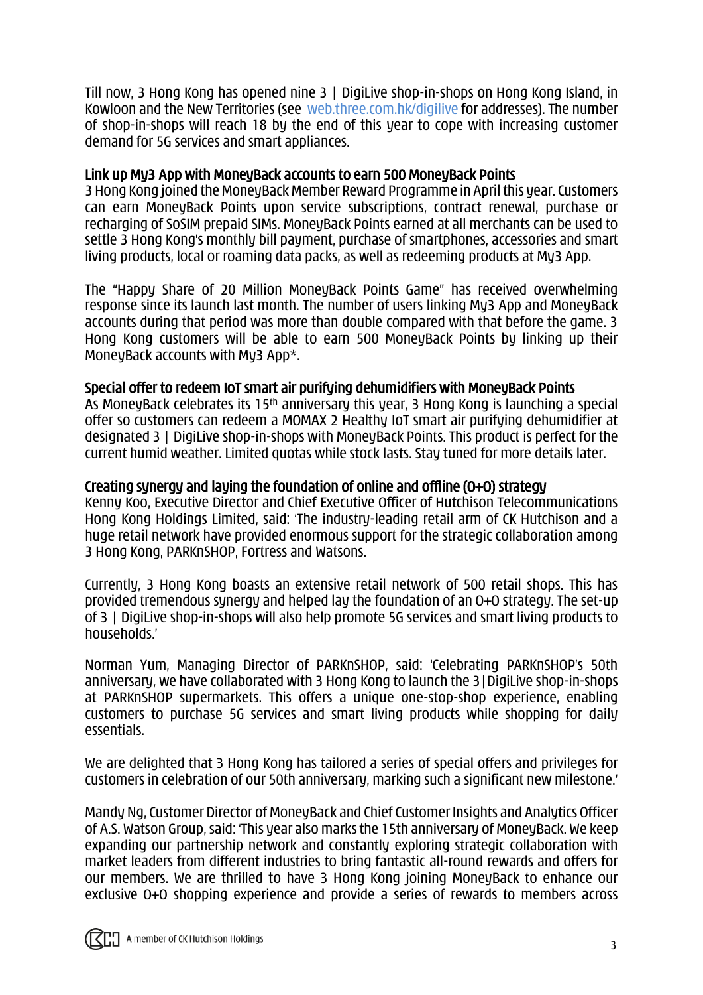Till now, 3 Hong Kong has opened nine 3 | DigiLive shop-in-shops on Hong Kong Island, in Kowloon and the New Territories (see [web.three.com.hk/digilive](https://web.three.com.hk/digilive/index.html) for addresses). The number of shop-in-shops will reach 18 by the end of this year to cope with increasing customer demand for 5G services and smart appliances.

#### Link up My3 App with MoneyBack accounts to earn 500 MoneyBack Points

3 Hong Kong joined the MoneyBack Member Reward Programme in April this year. Customers can earn MoneyBack Points upon service subscriptions, contract renewal, purchase or recharging of SoSIM prepaid SIMs. MoneyBack Points earned at all merchants can be used to settle 3 Hong Kong's monthly bill payment, purchase of smartphones, accessories and smart living products, local or roaming data packs, as well as redeeming products at My3 App.

The "Happy Share of 20 Million MoneyBack Points Game" has received overwhelming response since its launch last month. The number of users linking My3 App and MoneyBack accounts during that period was more than double compared with that before the game. 3 Hong Kong customers will be able to earn 500 MoneyBack Points by linking up their MoneyBack accounts with My3 App\*.

#### Special offer to redeem IoT smart air purifying dehumidifiers with MoneyBack Points

As MoneyBack celebrates its 15th anniversary this year, 3 Hong Kong is launching a special offer so customers can redeem a MOMAX 2 Healthy IoT smart air purifying dehumidifier at designated 3 | DigiLive shop-in-shops with MoneyBack Points. This product is perfect for the current humid weather. Limited quotas while stock lasts. Stay tuned for more details later.

#### Creating synergy and laying the foundation of online and offline (O+O) strategy

Kenny Koo, Executive Director and Chief Executive Officer of Hutchison Telecommunications Hong Kong Holdings Limited, said: 'The industry-leading retail arm of CK Hutchison and a huge retail network have provided enormous support for the strategic collaboration among 3 Hong Kong, PARKnSHOP, Fortress and Watsons.

Currently, 3 Hong Kong boasts an extensive retail network of 500 retail shops. This has provided tremendous synergy and helped lay the foundation of an O+O strategy. The set-up of 3 | DigiLive shop-in-shops will also help promote 5G services and smart living products to households.'

Norman Yum, Managing Director of PARKnSHOP, said: 'Celebrating PARKnSHOP's 50th anniversary, we have collaborated with 3 Hong Kong to launch the 3|DigiLive shop-in-shops at PARKnSHOP supermarkets. This offers a unique one-stop-shop experience, enabling customers to purchase 5G services and smart living products while shopping for daily essentials.

We are delighted that 3 Hong Kong has tailored a series of special offers and privileges for customers in celebration of our 50th anniversary, marking such a significant new milestone.'

Mandy Ng, Customer Director of MoneyBack and Chief Customer Insights and Analytics Officer of A.S. Watson Group, said: 'This year also marks the 15th anniversary of MoneyBack. We keep expanding our partnership network and constantly exploring strategic collaboration with market leaders from different industries to bring fantastic all-round rewards and offers for our members. We are thrilled to have 3 Hong Kong joining MoneyBack to enhance our exclusive O+O shopping experience and provide a series of rewards to members across

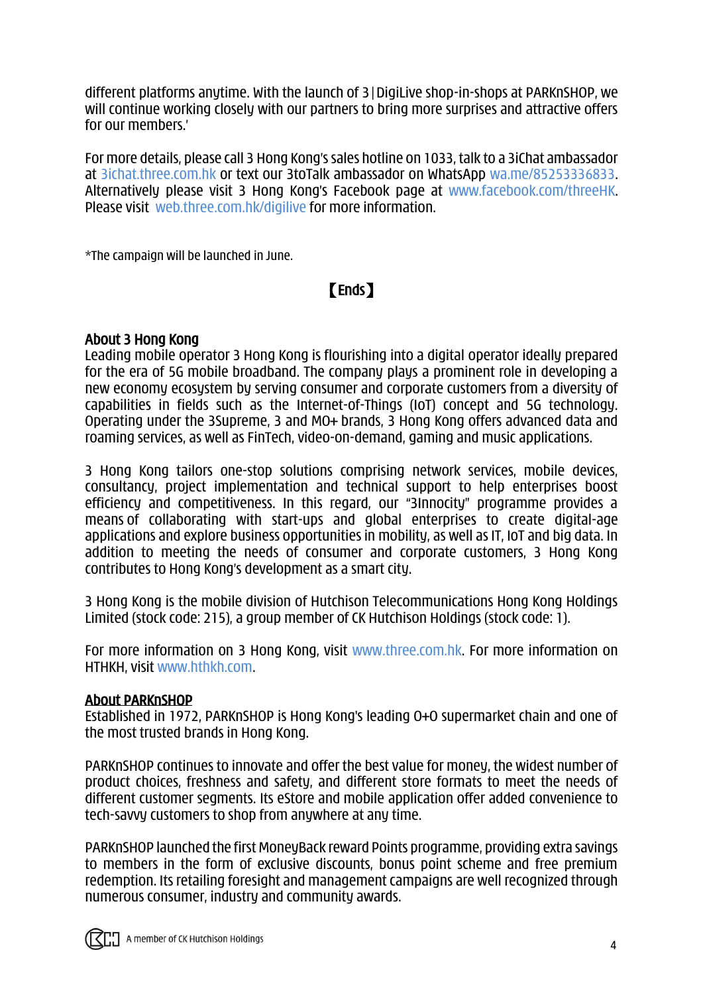different platforms anytime. With the launch of 3|DigiLive shop-in-shops at PARKnSHOP, we will continue working closely with our partners to bring more surprises and attractive offers for our members.'

For more details, please call 3 Hong Kong's sales hotline on 1033, talk to a 3iChat ambassador at [3ichat.three.com.hk](https://3ichat.three.com.hk/) or text our 3toTalk ambassador on WhatsApp [wa.me/85253336833.](https://wa.me/85253336833) Alternatively please visit 3 Hong Kong's Facebook page at [www.facebook.com/threeHK.](http://www.facebook.com/threeHK) Please visit [web.three.com.hk/digilive](https://web.three.com.hk/digilive/index.html) for more information.

\*The campaign will be launched in June.

# 【Ends】

#### About 3 Hong Kong

Leading mobile operator 3 Hong Kong is flourishing into a digital operator ideally prepared for the era of 5G mobile broadband. The company plays a prominent role in developing a new economy ecosystem by serving consumer and corporate customers from a diversity of capabilities in fields such as the Internet-of-Things (IoT) concept and 5G technology. Operating under the 3Supreme, 3 and MO+ brands, 3 Hong Kong offers advanced data and roaming services, as well as FinTech, video-on-demand, gaming and music applications.

3 Hong Kong tailors one-stop solutions comprising network services, mobile devices, consultancy, project implementation and technical support to help enterprises boost efficiency and competitiveness. In this regard, our "3Innocity" programme provides a means of collaborating with start-ups and global enterprises to create digital-age applications and explore business opportunities in mobility, as well as IT, IoT and big data. In addition to meeting the needs of consumer and corporate customers, 3 Hong Kong contributes to Hong Kong's development as a smart city.

3 Hong Kong is the mobile division of Hutchison Telecommunications Hong Kong Holdings Limited (stock code: 215), a group member of CK Hutchison Holdings (stock code: 1).

For more information on 3 Hong Kong, visit [www.three.com.hk.](http://www.three.com.hk/) For more information on HTHKH, visit [www.hthkh.com.](http://www.hthkh.com/)

#### About PARKnSHOP

Established in 1972, PARKnSHOP is Hong Kong's leading O+O supermarket chain and one of the most trusted brands in Hong Kong.

PARKnSHOP continues to innovate and offer the best value for money, the widest number of product choices, freshness and safety, and different store formats to meet the needs of different customer segments. Its eStore and mobile application offer added convenience to tech-savvy customers to shop from anywhere at any time.

PARKnSHOP launched the first MoneyBack reward Points programme, providing extra savings to members in the form of exclusive discounts, bonus point scheme and free premium redemption. Its retailing foresight and management campaigns are well recognized through numerous consumer, industry and community awards.